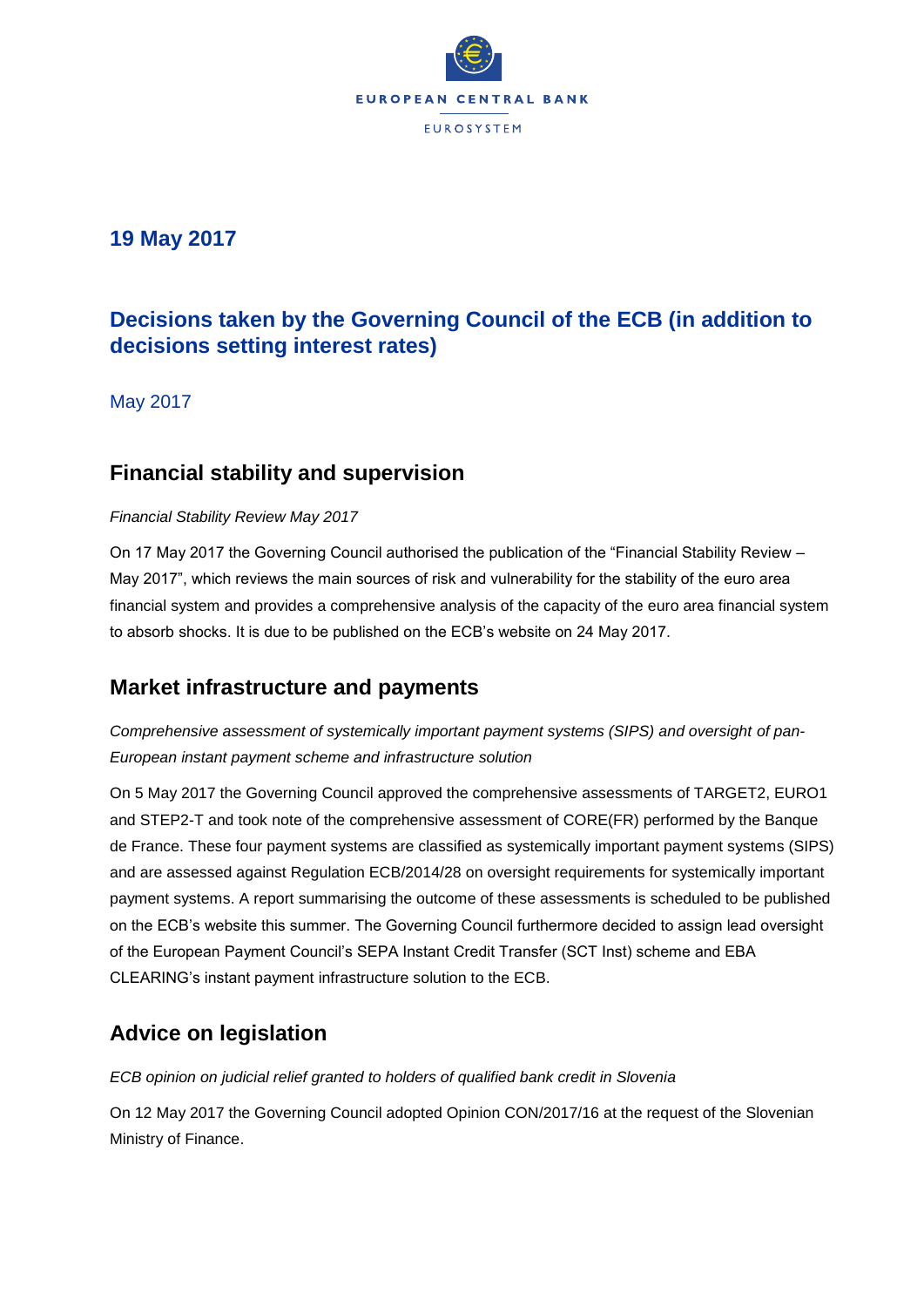

### **19 May 2017**

# **Decisions taken by the Governing Council of the ECB (in addition to decisions setting interest rates)**

May 2017

### **Financial stability and supervision**

#### *Financial Stability Review May 2017*

On 17 May 2017 the Governing Council authorised the publication of the "Financial Stability Review – May 2017", which reviews the main sources of risk and vulnerability for the stability of the euro area financial system and provides a comprehensive analysis of the capacity of the euro area financial system to absorb shocks. It is due to be published on the ECB's website on 24 May 2017.

### **Market infrastructure and payments**

Comprehensive assessment of systemically important payment systems (SIPS) and oversight of pan-*European instant payment scheme and infrastructure solution*

On 5 May 2017 the Governing Council approved the comprehensive assessments of TARGET2, EURO1 and STEP2-T and took note of the comprehensive assessment of CORE(FR) performed by the Banque de France. These four payment systems are classified as systemically important payment systems (SIPS) and are assessed against Regulation ECB/2014/28 on oversight requirements for systemically important payment systems. A report summarising the outcome of these assessments is scheduled to be published on the ECB's website this summer. The Governing Council furthermore decided to assign lead oversight of the European Payment Council's SEPA Instant Credit Transfer (SCT Inst) scheme and EBA CLEARING's instant payment infrastructure solution to the ECB.

## **Advice on legislation**

*ECB opinion on judicial relief granted to holders of qualified bank credit in Slovenia*

On 12 May 2017 the Governing Council adopted Opinion CON/2017/16 at the request of the Slovenian Ministry of Finance.